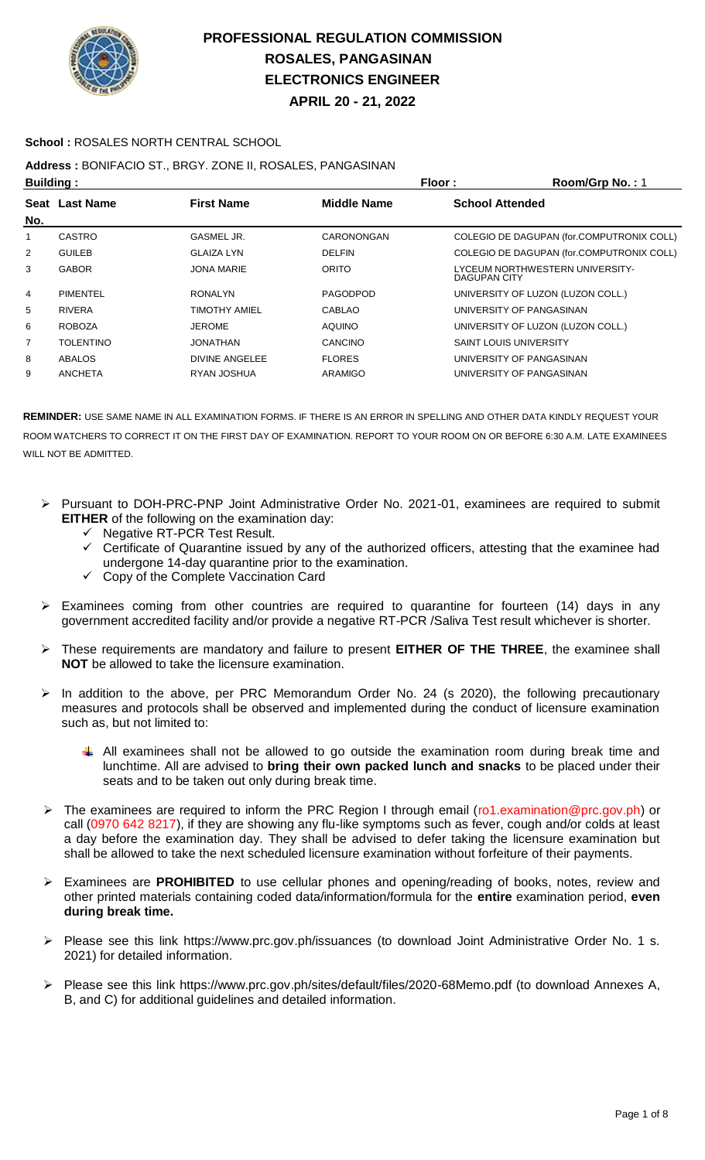

**APRIL 20 - 21, 2022**

#### **School :** ROSALES NORTH CENTRAL SCHOOL

### **Address :** BONIFACIO ST., BRGY. ZONE II, ROSALES, PANGASINAN

| <b>Building:</b> |                                                           |                      |                 | Floor:                        | Room/Grp No.: 1                           |  |
|------------------|-----------------------------------------------------------|----------------------|-----------------|-------------------------------|-------------------------------------------|--|
|                  | <b>First Name</b><br><b>Middle Name</b><br>Seat Last Name |                      |                 | <b>School Attended</b>        |                                           |  |
| No.              |                                                           |                      |                 |                               |                                           |  |
| 1                | CASTRO                                                    | GASMEL JR.           | CARONONGAN      |                               | COLEGIO DE DAGUPAN (for.COMPUTRONIX COLL) |  |
| $\overline{2}$   | <b>GUILEB</b>                                             | <b>GLAIZA LYN</b>    | <b>DELFIN</b>   |                               | COLEGIO DE DAGUPAN (for.COMPUTRONIX COLL) |  |
| 3                | <b>GABOR</b>                                              | <b>JONA MARIE</b>    | <b>ORITO</b>    | DAGUPAN CITY                  | LYCEUM NORTHWESTERN UNIVERSITY-           |  |
| 4                | <b>PIMENTEL</b>                                           | <b>RONALYN</b>       | <b>PAGODPOD</b> |                               | UNIVERSITY OF LUZON (LUZON COLL.)         |  |
| 5                | <b>RIVERA</b>                                             | <b>TIMOTHY AMIEL</b> | <b>CABLAO</b>   |                               | UNIVERSITY OF PANGASINAN                  |  |
| 6                | <b>ROBOZA</b>                                             | <b>JEROME</b>        | <b>AQUINO</b>   |                               | UNIVERSITY OF LUZON (LUZON COLL.)         |  |
| $\overline{7}$   | <b>TOLENTINO</b>                                          | <b>JONATHAN</b>      | CANCINO         | <b>SAINT LOUIS UNIVERSITY</b> |                                           |  |
| 8                | <b>ABALOS</b>                                             | DIVINE ANGELEE       | <b>FLORES</b>   |                               | UNIVERSITY OF PANGASINAN                  |  |
| 9                | <b>ANCHETA</b>                                            | RYAN JOSHUA          | ARAMIGO         |                               | UNIVERSITY OF PANGASINAN                  |  |

- Pursuant to DOH-PRC-PNP Joint Administrative Order No. 2021-01, examinees are required to submit **EITHER** of the following on the examination day:
	- $\checkmark$  Negative RT-PCR Test Result.
	- Certificate of Quarantine issued by any of the authorized officers, attesting that the examinee had undergone 14-day quarantine prior to the examination.
	- $\checkmark$  Copy of the Complete Vaccination Card
- Examinees coming from other countries are required to quarantine for fourteen (14) days in any government accredited facility and/or provide a negative RT-PCR /Saliva Test result whichever is shorter.
- These requirements are mandatory and failure to present **EITHER OF THE THREE**, the examinee shall **NOT** be allowed to take the licensure examination.
- In addition to the above, per PRC Memorandum Order No. 24 (s 2020), the following precautionary measures and protocols shall be observed and implemented during the conduct of licensure examination such as, but not limited to:
	- All examinees shall not be allowed to go outside the examination room during break time and lunchtime. All are advised to **bring their own packed lunch and snacks** to be placed under their seats and to be taken out only during break time.
- The examinees are required to inform the PRC Region I through email (ro1.examination@prc.gov.ph) or call (0970 642 8217), if they are showing any flu-like symptoms such as fever, cough and/or colds at least a day before the examination day. They shall be advised to defer taking the licensure examination but shall be allowed to take the next scheduled licensure examination without forfeiture of their payments.
- Examinees are **PROHIBITED** to use cellular phones and opening/reading of books, notes, review and other printed materials containing coded data/information/formula for the **entire** examination period, **even during break time.**
- Please see this link https://www.prc.gov.ph/issuances (to download Joint Administrative Order No. 1 s. 2021) for detailed information.
- Please see this link https://www.prc.gov.ph/sites/default/files/2020-68Memo.pdf (to download Annexes A, B, and C) for additional guidelines and detailed information.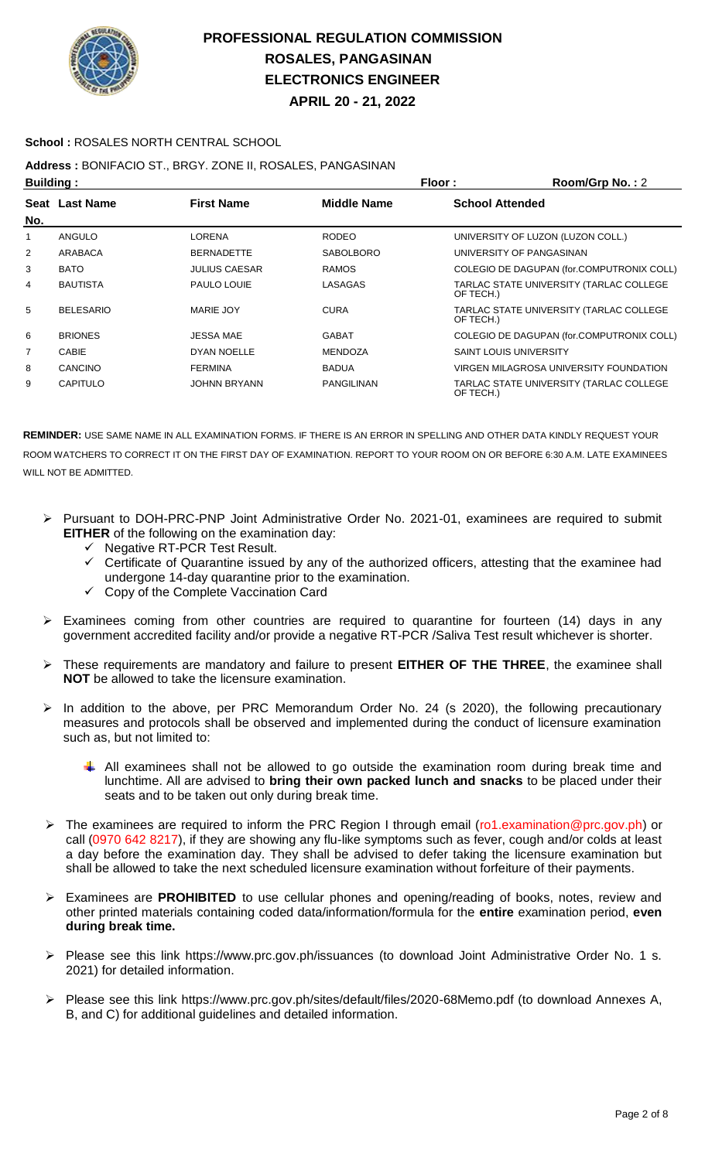

**APRIL 20 - 21, 2022**

#### **School :** ROSALES NORTH CENTRAL SCHOOL

### **Address :** BONIFACIO ST., BRGY. ZONE II, ROSALES, PANGASINAN

| <b>Building:</b> |                  |                      |                    | Floor :                       | Room/Grp No.: 2                           |
|------------------|------------------|----------------------|--------------------|-------------------------------|-------------------------------------------|
|                  | Seat Last Name   | <b>First Name</b>    | <b>Middle Name</b> | <b>School Attended</b>        |                                           |
| No.              |                  |                      |                    |                               |                                           |
| 1                | ANGULO           | LORENA               | <b>RODEO</b>       |                               | UNIVERSITY OF LUZON (LUZON COLL.)         |
| $\overline{2}$   | ARABACA          | <b>BERNADETTE</b>    | <b>SABOLBORO</b>   |                               | UNIVERSITY OF PANGASINAN                  |
| 3                | <b>BATO</b>      | <b>JULIUS CAESAR</b> | <b>RAMOS</b>       |                               | COLEGIO DE DAGUPAN (for.COMPUTRONIX COLL) |
| 4                | <b>BAUTISTA</b>  | PAULO LOUIE          | LASAGAS            | OF TECH.)                     | TARLAC STATE UNIVERSITY (TARLAC COLLEGE   |
| 5                | <b>BELESARIO</b> | MARIE JOY            | <b>CURA</b>        | OF TECH.)                     | TARLAC STATE UNIVERSITY (TARLAC COLLEGE   |
| 6                | <b>BRIONES</b>   | <b>JESSA MAE</b>     | <b>GABAT</b>       |                               | COLEGIO DE DAGUPAN (for.COMPUTRONIX COLL) |
| $\overline{7}$   | CABIE            | DYAN NOELLE          | <b>MENDOZA</b>     | <b>SAINT LOUIS UNIVERSITY</b> |                                           |
| 8                | CANCINO          | <b>FERMINA</b>       | <b>BADUA</b>       |                               | VIRGEN MILAGROSA UNIVERSITY FOUNDATION    |
| 9                | <b>CAPITULO</b>  | <b>JOHNN BRYANN</b>  | <b>PANGILINAN</b>  | OF TECH.)                     | TARLAC STATE UNIVERSITY (TARLAC COLLEGE   |

- Pursuant to DOH-PRC-PNP Joint Administrative Order No. 2021-01, examinees are required to submit **EITHER** of the following on the examination day:
	- $\checkmark$  Negative RT-PCR Test Result.
	- $\checkmark$  Certificate of Quarantine issued by any of the authorized officers, attesting that the examinee had undergone 14-day quarantine prior to the examination.
	- $\checkmark$  Copy of the Complete Vaccination Card
- $\triangleright$  Examinees coming from other countries are required to quarantine for fourteen (14) days in any government accredited facility and/or provide a negative RT-PCR /Saliva Test result whichever is shorter.
- These requirements are mandatory and failure to present **EITHER OF THE THREE**, the examinee shall **NOT** be allowed to take the licensure examination.
- In addition to the above, per PRC Memorandum Order No. 24 (s 2020), the following precautionary measures and protocols shall be observed and implemented during the conduct of licensure examination such as, but not limited to:
	- $\downarrow$  All examinees shall not be allowed to go outside the examination room during break time and lunchtime. All are advised to **bring their own packed lunch and snacks** to be placed under their seats and to be taken out only during break time.
- The examinees are required to inform the PRC Region I through email (ro1.examination@prc.gov.ph) or call (0970 642 8217), if they are showing any flu-like symptoms such as fever, cough and/or colds at least a day before the examination day. They shall be advised to defer taking the licensure examination but shall be allowed to take the next scheduled licensure examination without forfeiture of their payments.
- Examinees are **PROHIBITED** to use cellular phones and opening/reading of books, notes, review and other printed materials containing coded data/information/formula for the **entire** examination period, **even during break time.**
- Please see this link https://www.prc.gov.ph/issuances (to download Joint Administrative Order No. 1 s. 2021) for detailed information.
- Please see this link https://www.prc.gov.ph/sites/default/files/2020-68Memo.pdf (to download Annexes A, B, and C) for additional guidelines and detailed information.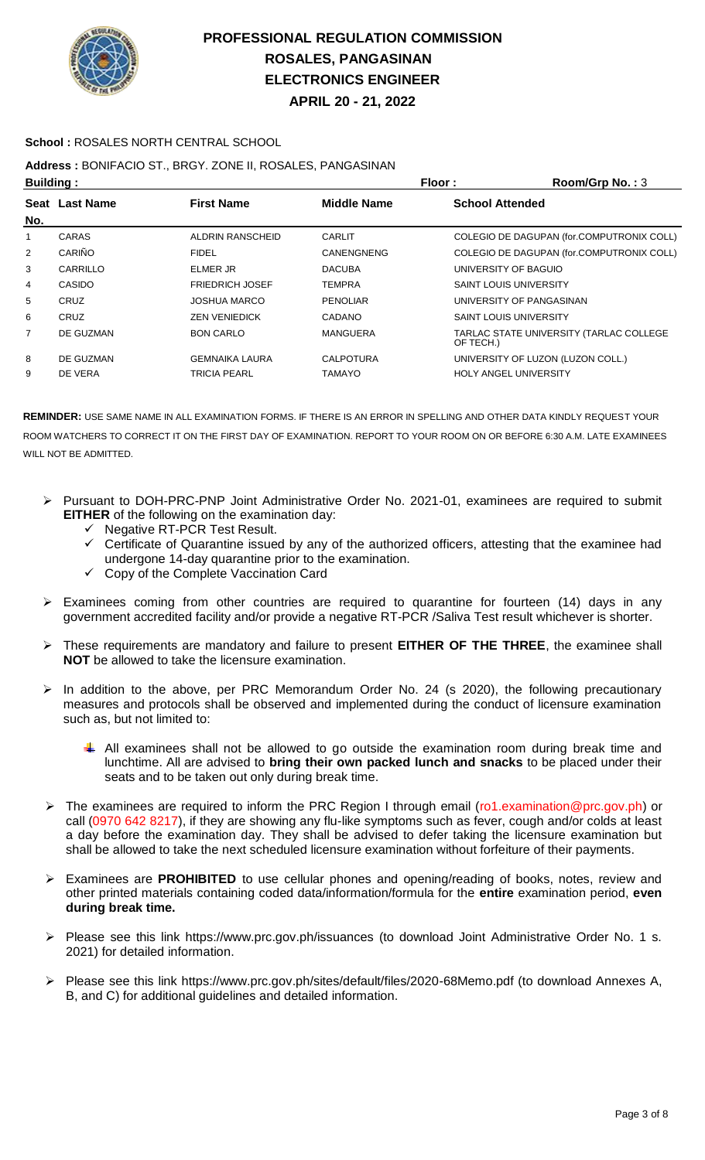

**APRIL 20 - 21, 2022**

#### **School :** ROSALES NORTH CENTRAL SCHOOL

### **Address :** BONIFACIO ST., BRGY. ZONE II, ROSALES, PANGASINAN

| <b>Building:</b> |                |                         | Floor:             | Room/Grp No.: 3               |                                           |
|------------------|----------------|-------------------------|--------------------|-------------------------------|-------------------------------------------|
|                  | Seat Last Name | <b>First Name</b>       | <b>Middle Name</b> | <b>School Attended</b>        |                                           |
| No.              |                |                         |                    |                               |                                           |
| 1                | <b>CARAS</b>   | <b>ALDRIN RANSCHEID</b> | <b>CARLIT</b>      |                               | COLEGIO DE DAGUPAN (for.COMPUTRONIX COLL) |
| 2                | CARIÑO         | <b>FIDEL</b>            | CANENGNENG         |                               | COLEGIO DE DAGUPAN (for.COMPUTRONIX COLL) |
| 3                | CARRILLO       | <b>ELMER JR</b>         | <b>DACUBA</b>      | UNIVERSITY OF BAGUIO          |                                           |
| 4                | <b>CASIDO</b>  | <b>FRIEDRICH JOSEF</b>  | <b>TEMPRA</b>      | <b>SAINT LOUIS UNIVERSITY</b> |                                           |
| 5                | CRUZ           | <b>JOSHUA MARCO</b>     | <b>PENOLIAR</b>    |                               | UNIVERSITY OF PANGASINAN                  |
| 6                | CRUZ           | <b>ZEN VENIEDICK</b>    | <b>CADANO</b>      | <b>SAINT LOUIS UNIVERSITY</b> |                                           |
| 7                | DE GUZMAN      | <b>BON CARLO</b>        | <b>MANGUERA</b>    | OF TECH.)                     | TARLAC STATE UNIVERSITY (TARLAC COLLEGE   |
| 8                | DE GUZMAN      | <b>GEMNAIKA LAURA</b>   | <b>CALPOTURA</b>   |                               | UNIVERSITY OF LUZON (LUZON COLL.)         |
| 9                | DE VERA        | <b>TRICIA PEARL</b>     | TAMAYO             |                               | <b>HOLY ANGEL UNIVERSITY</b>              |

- Pursuant to DOH-PRC-PNP Joint Administrative Order No. 2021-01, examinees are required to submit **EITHER** of the following on the examination day:
	- Negative RT-PCR Test Result.
	- $\checkmark$  Certificate of Quarantine issued by any of the authorized officers, attesting that the examinee had undergone 14-day quarantine prior to the examination.
	- Copy of the Complete Vaccination Card
- Examinees coming from other countries are required to quarantine for fourteen (14) days in any government accredited facility and/or provide a negative RT-PCR /Saliva Test result whichever is shorter.
- These requirements are mandatory and failure to present **EITHER OF THE THREE**, the examinee shall **NOT** be allowed to take the licensure examination.
- $\triangleright$  In addition to the above, per PRC Memorandum Order No. 24 (s 2020), the following precautionary measures and protocols shall be observed and implemented during the conduct of licensure examination such as, but not limited to:
	- All examinees shall not be allowed to go outside the examination room during break time and lunchtime. All are advised to **bring their own packed lunch and snacks** to be placed under their seats and to be taken out only during break time.
- ▶ The examinees are required to inform the PRC Region I through email (ro1.examination@prc.gov.ph) or call (0970 642 8217), if they are showing any flu-like symptoms such as fever, cough and/or colds at least a day before the examination day. They shall be advised to defer taking the licensure examination but shall be allowed to take the next scheduled licensure examination without forfeiture of their payments.
- Examinees are **PROHIBITED** to use cellular phones and opening/reading of books, notes, review and other printed materials containing coded data/information/formula for the **entire** examination period, **even during break time.**
- Please see this link https://www.prc.gov.ph/issuances (to download Joint Administrative Order No. 1 s. 2021) for detailed information.
- Please see this link https://www.prc.gov.ph/sites/default/files/2020-68Memo.pdf (to download Annexes A, B, and C) for additional guidelines and detailed information.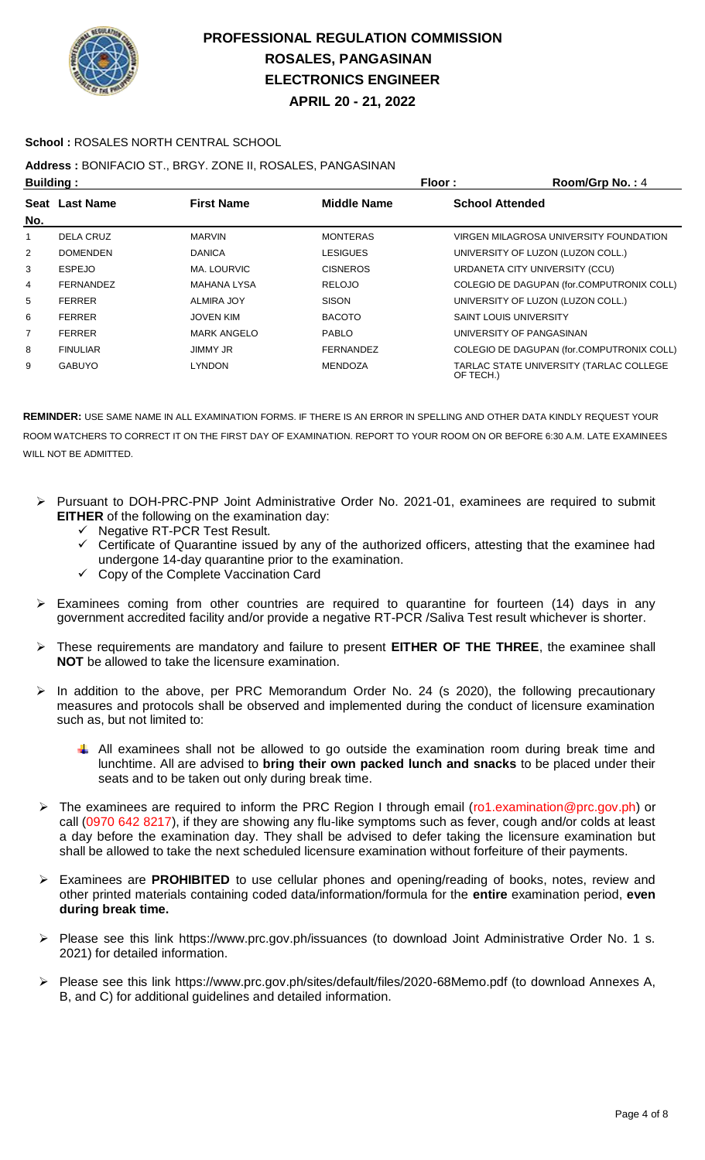

**APRIL 20 - 21, 2022**

#### **School :** ROSALES NORTH CENTRAL SCHOOL

### **Address :** BONIFACIO ST., BRGY. ZONE II, ROSALES, PANGASINAN

| <b>Building:</b> |                       |                    |                    | Floor:<br>Room/Grp No.: 4                            |
|------------------|-----------------------|--------------------|--------------------|------------------------------------------------------|
|                  | <b>Seat Last Name</b> | <b>First Name</b>  | <b>Middle Name</b> | <b>School Attended</b>                               |
| No.              |                       |                    |                    |                                                      |
| 1                | DELA CRUZ             | <b>MARVIN</b>      | <b>MONTERAS</b>    | VIRGEN MILAGROSA UNIVERSITY FOUNDATION               |
| 2                | <b>DOMENDEN</b>       | <b>DANICA</b>      | LESIGUES           | UNIVERSITY OF LUZON (LUZON COLL.)                    |
| 3                | <b>ESPEJO</b>         | MA. LOURVIC        | <b>CISNEROS</b>    | URDANETA CITY UNIVERSITY (CCU)                       |
| 4                | <b>FERNANDEZ</b>      | MAHANA LYSA        | <b>RELOJO</b>      | COLEGIO DE DAGUPAN (for.COMPUTRONIX COLL)            |
| 5                | <b>FERRER</b>         | <b>ALMIRA JOY</b>  | <b>SISON</b>       | UNIVERSITY OF LUZON (LUZON COLL.)                    |
| 6                | <b>FERRER</b>         | <b>JOVEN KIM</b>   | <b>BACOTO</b>      | <b>SAINT LOUIS UNIVERSITY</b>                        |
| 7                | <b>FERRER</b>         | <b>MARK ANGELO</b> | <b>PABLO</b>       | UNIVERSITY OF PANGASINAN                             |
| 8                | <b>FINULIAR</b>       | <b>JIMMY JR</b>    | <b>FERNANDEZ</b>   | COLEGIO DE DAGUPAN (for.COMPUTRONIX COLL)            |
| 9                | <b>GABUYO</b>         | <b>LYNDON</b>      | <b>MENDOZA</b>     | TARLAC STATE UNIVERSITY (TARLAC COLLEGE<br>OF TECH.) |

- Pursuant to DOH-PRC-PNP Joint Administrative Order No. 2021-01, examinees are required to submit **EITHER** of the following on the examination day:
	- $\checkmark$  Negative RT-PCR Test Result.
	- $\checkmark$  Certificate of Quarantine issued by any of the authorized officers, attesting that the examinee had undergone 14-day quarantine prior to the examination.
	- $\checkmark$  Copy of the Complete Vaccination Card
- Examinees coming from other countries are required to quarantine for fourteen (14) days in any government accredited facility and/or provide a negative RT-PCR /Saliva Test result whichever is shorter.
- These requirements are mandatory and failure to present **EITHER OF THE THREE**, the examinee shall **NOT** be allowed to take the licensure examination.
- In addition to the above, per PRC Memorandum Order No. 24 (s 2020), the following precautionary measures and protocols shall be observed and implemented during the conduct of licensure examination such as, but not limited to:
	- $\uparrow$  All examinees shall not be allowed to go outside the examination room during break time and lunchtime. All are advised to **bring their own packed lunch and snacks** to be placed under their seats and to be taken out only during break time.
- > The examinees are required to inform the PRC Region I through email (ro1.examination@prc.gov.ph) or call (0970 642 8217), if they are showing any flu-like symptoms such as fever, cough and/or colds at least a day before the examination day. They shall be advised to defer taking the licensure examination but shall be allowed to take the next scheduled licensure examination without forfeiture of their payments.
- Examinees are **PROHIBITED** to use cellular phones and opening/reading of books, notes, review and other printed materials containing coded data/information/formula for the **entire** examination period, **even during break time.**
- Please see this link https://www.prc.gov.ph/issuances (to download Joint Administrative Order No. 1 s. 2021) for detailed information.
- Please see this link https://www.prc.gov.ph/sites/default/files/2020-68Memo.pdf (to download Annexes A, B, and C) for additional guidelines and detailed information.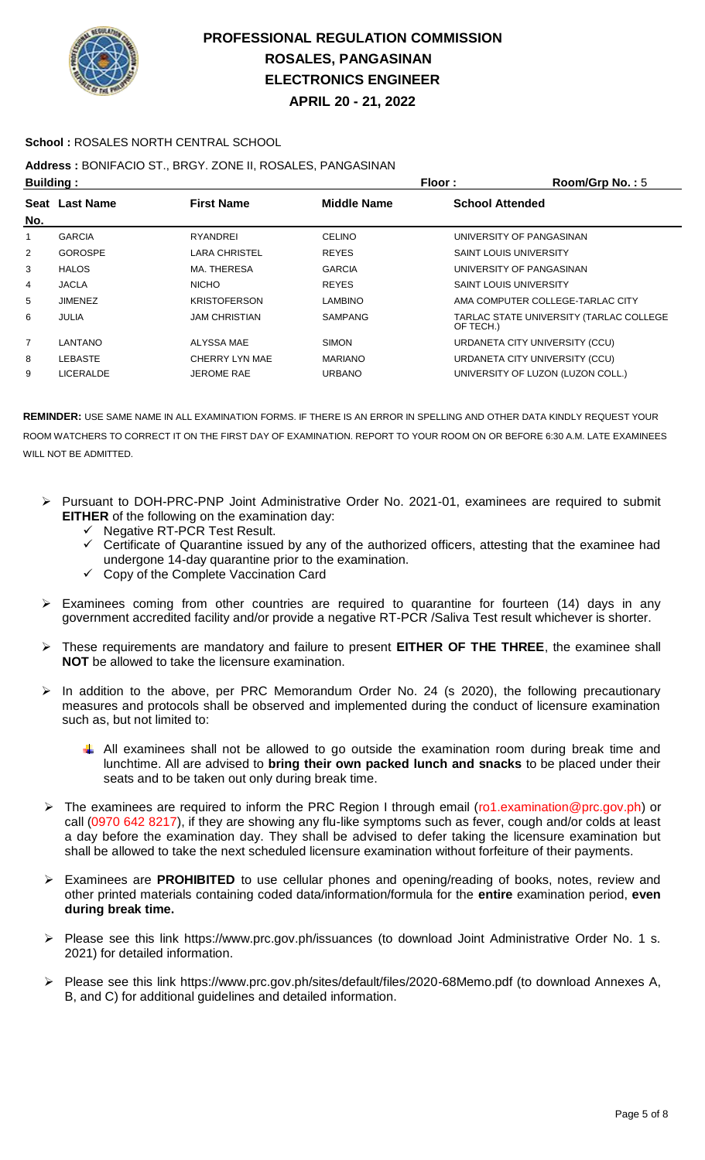

**APRIL 20 - 21, 2022**

#### **School :** ROSALES NORTH CENTRAL SCHOOL

### **Address :** BONIFACIO ST., BRGY. ZONE II, ROSALES, PANGASINAN

| <b>Building:</b> |                                                           |                      | Floor:         | Room/Grp No.: 5               |                                         |
|------------------|-----------------------------------------------------------|----------------------|----------------|-------------------------------|-----------------------------------------|
|                  | <b>First Name</b><br><b>Middle Name</b><br>Seat Last Name |                      |                | <b>School Attended</b>        |                                         |
| No.              |                                                           |                      |                |                               |                                         |
| 1                | <b>GARCIA</b>                                             | <b>RYANDREI</b>      | <b>CELINO</b>  |                               | UNIVERSITY OF PANGASINAN                |
| $\overline{2}$   | <b>GOROSPE</b>                                            | LARA CHRISTEL        | <b>REYES</b>   | <b>SAINT LOUIS UNIVERSITY</b> |                                         |
| 3                | <b>HALOS</b>                                              | MA. THERESA          | <b>GARCIA</b>  |                               | UNIVERSITY OF PANGASINAN                |
| 4                | <b>JACLA</b>                                              | <b>NICHO</b>         | <b>REYES</b>   | <b>SAINT LOUIS UNIVERSITY</b> |                                         |
| 5                | <b>JIMENEZ</b>                                            | <b>KRISTOFERSON</b>  | LAMBINO        |                               | AMA COMPUTER COLLEGE-TARLAC CITY        |
| 6                | <b>JULIA</b>                                              | <b>JAM CHRISTIAN</b> | <b>SAMPANG</b> | OF TECH.)                     | TARLAC STATE UNIVERSITY (TARLAC COLLEGE |
| $\overline{7}$   | LANTANO                                                   | ALYSSA MAE           | <b>SIMON</b>   |                               | URDANETA CITY UNIVERSITY (CCU)          |
| 8                | LEBASTE                                                   | CHERRY LYN MAE       | <b>MARIANO</b> |                               | URDANETA CITY UNIVERSITY (CCU)          |
| 9                | <b>LICERALDE</b>                                          | <b>JEROME RAE</b>    | <b>URBANO</b>  |                               | UNIVERSITY OF LUZON (LUZON COLL.)       |

- Pursuant to DOH-PRC-PNP Joint Administrative Order No. 2021-01, examinees are required to submit **EITHER** of the following on the examination day:
	- $\gamma$  Negative RT-PCR Test Result.
	- $\checkmark$  Certificate of Quarantine issued by any of the authorized officers, attesting that the examinee had undergone 14-day quarantine prior to the examination.
	- $\checkmark$  Copy of the Complete Vaccination Card
- Examinees coming from other countries are required to quarantine for fourteen (14) days in any government accredited facility and/or provide a negative RT-PCR /Saliva Test result whichever is shorter.
- These requirements are mandatory and failure to present **EITHER OF THE THREE**, the examinee shall **NOT** be allowed to take the licensure examination.
- $\triangleright$  In addition to the above, per PRC Memorandum Order No. 24 (s 2020), the following precautionary measures and protocols shall be observed and implemented during the conduct of licensure examination such as, but not limited to:
	- All examinees shall not be allowed to go outside the examination room during break time and lunchtime. All are advised to **bring their own packed lunch and snacks** to be placed under their seats and to be taken out only during break time.
- ▶ The examinees are required to inform the PRC Region I through email (ro1.examination@prc.gov.ph) or call (0970 642 8217), if they are showing any flu-like symptoms such as fever, cough and/or colds at least a day before the examination day. They shall be advised to defer taking the licensure examination but shall be allowed to take the next scheduled licensure examination without forfeiture of their payments.
- Examinees are **PROHIBITED** to use cellular phones and opening/reading of books, notes, review and other printed materials containing coded data/information/formula for the **entire** examination period, **even during break time.**
- Please see this link https://www.prc.gov.ph/issuances (to download Joint Administrative Order No. 1 s. 2021) for detailed information.
- Please see this link https://www.prc.gov.ph/sites/default/files/2020-68Memo.pdf (to download Annexes A, B, and C) for additional guidelines and detailed information.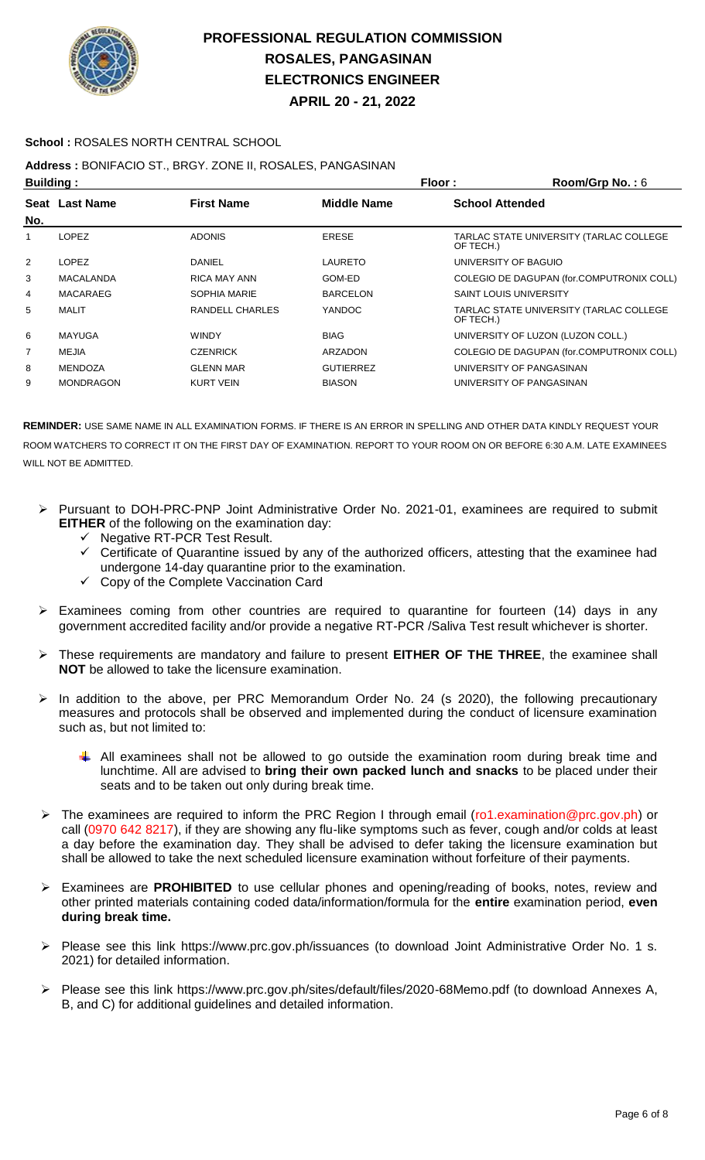

**APRIL 20 - 21, 2022**

#### **School :** ROSALES NORTH CENTRAL SCHOOL

### **Address :** BONIFACIO ST., BRGY. ZONE II, ROSALES, PANGASINAN

| <b>Building:</b> |                  |                     | Floor:             | Room/Grp No.: 6                                      |
|------------------|------------------|---------------------|--------------------|------------------------------------------------------|
| No.              | Seat Last Name   | <b>First Name</b>   | <b>Middle Name</b> | <b>School Attended</b>                               |
|                  | <b>LOPEZ</b>     | <b>ADONIS</b>       | <b>ERESE</b>       | TARLAC STATE UNIVERSITY (TARLAC COLLEGE<br>OF TECH.) |
| 2                | <b>LOPEZ</b>     | DANIEL              | LAURETO            | UNIVERSITY OF BAGUIO                                 |
| 3                | <b>MACALANDA</b> | <b>RICA MAY ANN</b> | GOM-ED             | COLEGIO DE DAGUPAN (for.COMPUTRONIX COLL)            |
| 4                | MACARAEG         | <b>SOPHIA MARIE</b> | <b>BARCELON</b>    | <b>SAINT LOUIS UNIVERSITY</b>                        |
| 5                | MALIT            | RANDELL CHARLES     | YANDOC             | TARLAC STATE UNIVERSITY (TARLAC COLLEGE<br>OF TECH.) |
| 6                | <b>MAYUGA</b>    | <b>WINDY</b>        | <b>BIAG</b>        | UNIVERSITY OF LUZON (LUZON COLL.)                    |
| $\overline{7}$   | <b>MEJIA</b>     | <b>CZENRICK</b>     | <b>ARZADON</b>     | COLEGIO DE DAGUPAN (for.COMPUTRONIX COLL)            |
| 8                | <b>MENDOZA</b>   | <b>GLENN MAR</b>    | <b>GUTIERREZ</b>   | UNIVERSITY OF PANGASINAN                             |
| 9                | <b>MONDRAGON</b> | <b>KURT VEIN</b>    | <b>BIASON</b>      | UNIVERSITY OF PANGASINAN                             |

- Pursuant to DOH-PRC-PNP Joint Administrative Order No. 2021-01, examinees are required to submit **EITHER** of the following on the examination day:
	- $\checkmark$  Negative RT-PCR Test Result.
	- Certificate of Quarantine issued by any of the authorized officers, attesting that the examinee had undergone 14-day quarantine prior to the examination.
	- Copy of the Complete Vaccination Card
- $\triangleright$  Examinees coming from other countries are required to quarantine for fourteen (14) days in any government accredited facility and/or provide a negative RT-PCR /Saliva Test result whichever is shorter.
- These requirements are mandatory and failure to present **EITHER OF THE THREE**, the examinee shall **NOT** be allowed to take the licensure examination.
- $\triangleright$  In addition to the above, per PRC Memorandum Order No. 24 (s 2020), the following precautionary measures and protocols shall be observed and implemented during the conduct of licensure examination such as, but not limited to:
	- $\downarrow$  All examinees shall not be allowed to go outside the examination room during break time and lunchtime. All are advised to **bring their own packed lunch and snacks** to be placed under their seats and to be taken out only during break time.
- The examinees are required to inform the PRC Region I through email (ro1.examination@prc.gov.ph) or call (0970 642 8217), if they are showing any flu-like symptoms such as fever, cough and/or colds at least a day before the examination day. They shall be advised to defer taking the licensure examination but shall be allowed to take the next scheduled licensure examination without forfeiture of their payments.
- Examinees are **PROHIBITED** to use cellular phones and opening/reading of books, notes, review and other printed materials containing coded data/information/formula for the **entire** examination period, **even during break time.**
- Please see this link https://www.prc.gov.ph/issuances (to download Joint Administrative Order No. 1 s. 2021) for detailed information.
- Please see this link https://www.prc.gov.ph/sites/default/files/2020-68Memo.pdf (to download Annexes A, B, and C) for additional guidelines and detailed information.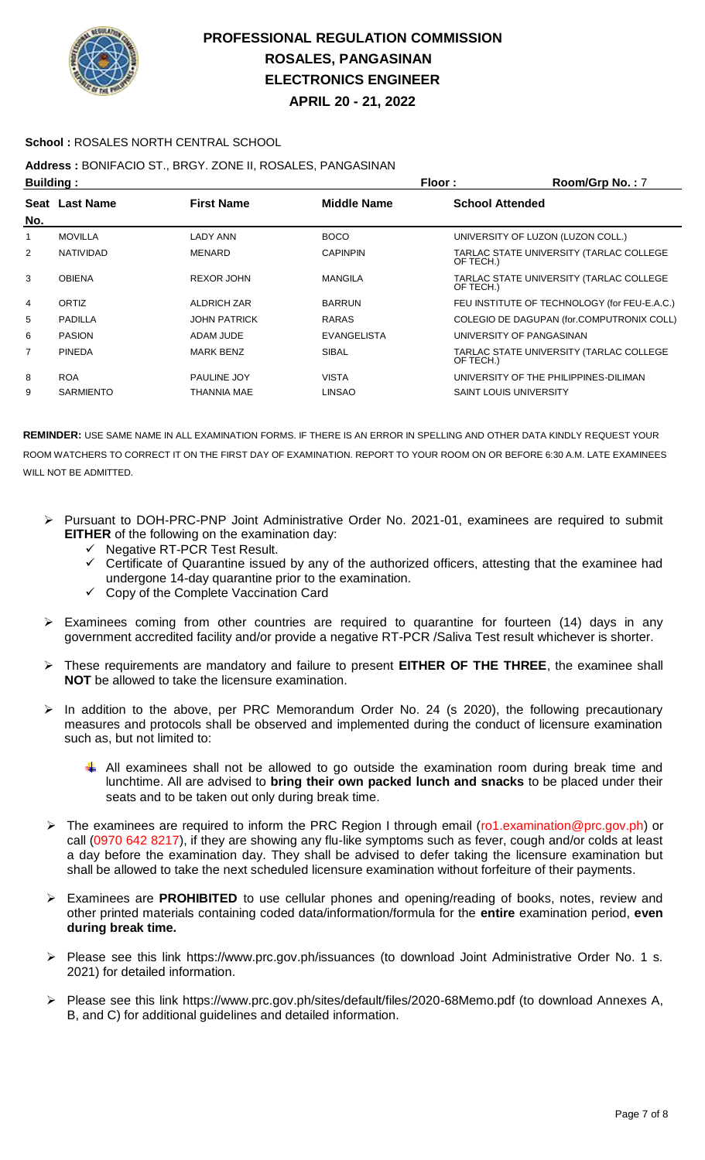

**APRIL 20 - 21, 2022**

#### **School :** ROSALES NORTH CENTRAL SCHOOL

### **Address :** BONIFACIO ST., BRGY. ZONE II, ROSALES, PANGASINAN

| <b>Building:</b> |                     |                    | Room/Grp No.: 7               |                                              |
|------------------|---------------------|--------------------|-------------------------------|----------------------------------------------|
| Seat Last Name   | <b>First Name</b>   | <b>Middle Name</b> | <b>School Attended</b>        |                                              |
|                  |                     |                    |                               |                                              |
| <b>MOVILLA</b>   | LADY ANN            | <b>BOCO</b>        |                               | UNIVERSITY OF LUZON (LUZON COLL.)            |
| <b>NATIVIDAD</b> | <b>MENARD</b>       | <b>CAPINPIN</b>    | OF TECH.)                     | TARLAC STATE UNIVERSITY (TARLAC COLLEGE      |
| <b>OBIENA</b>    | <b>REXOR JOHN</b>   | <b>MANGILA</b>     | OF TECH.)                     | TARLAC STATE UNIVERSITY (TARLAC COLLEGE      |
| ORTIZ            | <b>ALDRICH ZAR</b>  | <b>BARRUN</b>      |                               | FEU INSTITUTE OF TECHNOLOGY (for FEU-E.A.C.) |
| PADILLA          | <b>JOHN PATRICK</b> | <b>RARAS</b>       |                               | COLEGIO DE DAGUPAN (for.COMPUTRONIX COLL)    |
| <b>PASION</b>    | ADAM JUDE           | <b>EVANGELISTA</b> |                               | UNIVERSITY OF PANGASINAN                     |
| <b>PINEDA</b>    | <b>MARK BENZ</b>    | <b>SIBAL</b>       | OF TECH.)                     | TARLAC STATE UNIVERSITY (TARLAC COLLEGE      |
| <b>ROA</b>       | <b>PAULINE JOY</b>  | <b>VISTA</b>       |                               | UNIVERSITY OF THE PHILIPPINES-DILIMAN        |
| SARMIENTO        | THANNIA MAE         | <b>LINSAO</b>      | <b>SAINT LOUIS UNIVERSITY</b> |                                              |
|                  |                     |                    |                               | Floor:                                       |

- Pursuant to DOH-PRC-PNP Joint Administrative Order No. 2021-01, examinees are required to submit **EITHER** of the following on the examination day:
	- Negative RT-PCR Test Result.
	- $\checkmark$  Certificate of Quarantine issued by any of the authorized officers, attesting that the examinee had undergone 14-day quarantine prior to the examination.
	- $\checkmark$  Copy of the Complete Vaccination Card
- $\triangleright$  Examinees coming from other countries are required to quarantine for fourteen (14) days in any government accredited facility and/or provide a negative RT-PCR /Saliva Test result whichever is shorter.
- These requirements are mandatory and failure to present **EITHER OF THE THREE**, the examinee shall **NOT** be allowed to take the licensure examination.
- In addition to the above, per PRC Memorandum Order No. 24 (s 2020), the following precautionary measures and protocols shall be observed and implemented during the conduct of licensure examination such as, but not limited to:
	- All examinees shall not be allowed to go outside the examination room during break time and lunchtime. All are advised to **bring their own packed lunch and snacks** to be placed under their seats and to be taken out only during break time.
- The examinees are required to inform the PRC Region I through email (ro1.examination@prc.gov.ph) or call (0970 642 8217), if they are showing any flu-like symptoms such as fever, cough and/or colds at least a day before the examination day. They shall be advised to defer taking the licensure examination but shall be allowed to take the next scheduled licensure examination without forfeiture of their payments.
- Examinees are **PROHIBITED** to use cellular phones and opening/reading of books, notes, review and other printed materials containing coded data/information/formula for the **entire** examination period, **even during break time.**
- Please see this link https://www.prc.gov.ph/issuances (to download Joint Administrative Order No. 1 s. 2021) for detailed information.
- Please see this link https://www.prc.gov.ph/sites/default/files/2020-68Memo.pdf (to download Annexes A, B, and C) for additional guidelines and detailed information.